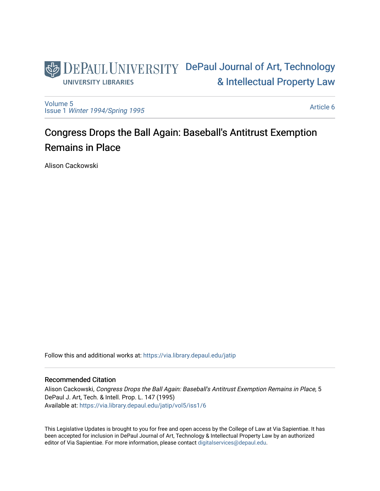

[Volume 5](https://via.library.depaul.edu/jatip/vol5) Issue 1 [Winter 1994/Spring 1995](https://via.library.depaul.edu/jatip/vol5/iss1)

[Article 6](https://via.library.depaul.edu/jatip/vol5/iss1/6) 

# Congress Drops the Ball Again: Baseball's Antitrust Exemption Remains in Place

Alison Cackowski

Follow this and additional works at: [https://via.library.depaul.edu/jatip](https://via.library.depaul.edu/jatip?utm_source=via.library.depaul.edu%2Fjatip%2Fvol5%2Fiss1%2F6&utm_medium=PDF&utm_campaign=PDFCoverPages)

### Recommended Citation

Alison Cackowski, Congress Drops the Ball Again: Baseball's Antitrust Exemption Remains in Place, 5 DePaul J. Art, Tech. & Intell. Prop. L. 147 (1995) Available at: [https://via.library.depaul.edu/jatip/vol5/iss1/6](https://via.library.depaul.edu/jatip/vol5/iss1/6?utm_source=via.library.depaul.edu%2Fjatip%2Fvol5%2Fiss1%2F6&utm_medium=PDF&utm_campaign=PDFCoverPages)

This Legislative Updates is brought to you for free and open access by the College of Law at Via Sapientiae. It has been accepted for inclusion in DePaul Journal of Art, Technology & Intellectual Property Law by an authorized editor of Via Sapientiae. For more information, please contact [digitalservices@depaul.edu](mailto:digitalservices@depaul.edu).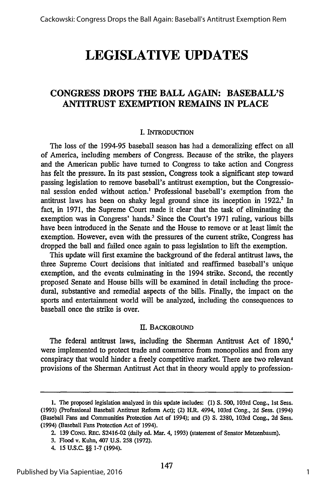## **LEGISLATIVE UPDATES**

### **CONGRESS DROPS THE BALL AGAIN: BASEBALL'S ANTITRUST EXEMPTION REMAINS IN PLACE**

### I. INTRODUCTION

The loss of the 1994-95 baseball season has had a demoralizing effect on all of America, including members of Congress. Because of the strike, the players and the American public have turned to Congress to take action and Congress has felt the pressure. In its past session, Congress took a significant step toward passing legislation to remove baseball's antitrust exemption, but the Congressional session ended without action.' Professional baseball's exemption from the antitrust laws has been on shaky legal ground since its inception in 1922. **In** fact, in 1971, the Supreme Court made it clear that the task of eliminating the exemption was in Congress' hands.<sup>3</sup> Since the Court's 1971 ruling, various bills have been introduced in the Senate and the House to remove or at least limit the exemption. However, even with the pressures of the current strike, Congress has dropped the ball and failed once again to pass legislation to lift the exemption.

This update will first examine the background of the federal antitrust laws, the three Supreme Court decisions that initiated and reaffirmed baseball's unique exemption, and the events culminating in the 1994 strike. Second, the recently proposed Senate and House bills will be examined in detail including the procedural, substantive and remedial aspects of the bills. Finally, the impact on the sports and entertainment world will be analyzed, including the consequences to baseball once the strike is over.

#### II. **BACKGROUND**

The federal antitrust laws, including the Sherman Antitrust Act of  $1890<sup>4</sup>$ were implemented to protect trade and commerce from monopolies and from any conspiracy that would hinder a freely competitive market. There are two relevant provisions of the Sherman Antitrust Act that in theory would apply to profession-

**<sup>1.</sup>** The proposed legislation analyzed in this update includes: **(1) S.** 500, 103rd Cong., 1st Sess. (1993) (Professional Baseball Antitrust Reform Act); (2) H.R. 4994, 103rd Cong., 2d Sess. (1994) (Baseball Fans and Communities Protection Act of 1994); and (3) S. 2380, 103rd Cong., 2d Sess. (1994) (Baseball Fans Protection Act of 1994).

<sup>2. 139</sup> CONG. REc. S2416-02 (daily ed. Mar. 4, 1993) (statement of Senator Metzenbaum).

<sup>3.</sup> Flood v. Kuhn, 407 U.S. 258 (1972).

<sup>4. 15</sup> **U.S.C.** §§ **1-7** (1994).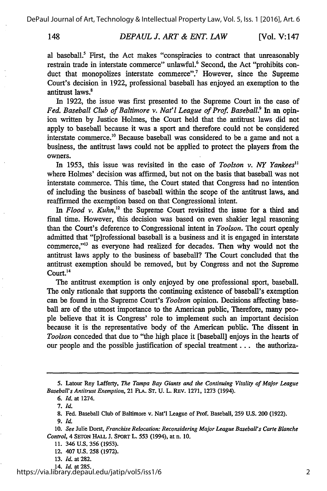#### *DEPAUL J. ART & ENT. LAW* [Vol. V:147]

al baseball.<sup>5</sup> First, the Act makes "conspiracies to contract that unreasonably restrain trade in interstate commerce" unlawful.<sup>6</sup> Second, the Act "prohibits conduct that monopolizes interstate commerce".<sup>7</sup> However, since the Supreme Court's decision in 1922, professional baseball has enjoyed an exemption to the antitrust laws.'

In 1922, the issue was first presented to the Supreme Court in the case of *Fed. Baseball Club of Baltimore v. Nat'l League of Prof. Baseball.*<sup>9</sup> In an opinion written by Justice Holmes, the Court held that the antitrust laws did not apply to baseball because it was a sport and therefore could not be considered interstate commerce.<sup>10</sup> Because baseball was considered to be a game and not a business, the antitrust laws could not be applied to protect the players from the owners.

In 1953, this issue was revisited in the case of *Toolson v. NY Yankees"* where Holmes' decision was affirmed, but not on the basis that baseball was not interstate commerce. This time, the Court stated that Congress had no intention of including the business of baseball within the scope of the antitrust laws, and reaffirmed the exemption based on that Congressional intent.

*In Flood v. Kuhn,'2* the Supreme Court revisited the issue for a third and final time. However, this decision was based on even shakier legal reasoning than the Court's deference to Congressional intent in *Toolson.* The court openly admitted that "[p]rofessional baseball is a business and it is engaged in interstate commerce,"<sup>13</sup> as everyone had realized for decades. Then why would not the antitrust laws apply to the business of baseball? The Court concluded that the antitrust exemption should be removed, but by Congress and not the Supreme Court.<sup>14</sup>

The antitrust exemption is only enjoyed by one professional sport, baseball. The only rationale that supports the continuing existence of baseball's exemption can be found in the Supreme Court's *Toolson* opinion. Decisions affecting baseball are of the utmost importance to the American public, Therefore, many people believe that it is Congress' role to implement such an important decision because it is the representative body of the American public. The dissent in *Toolson* conceded that due to "the high place it [baseball] enjoys in the hearts of our people and the possible justification of special treatment **...** the authoriza-

<sup>5.</sup> Latour Rey Lafferty, *The Tampa Bay Giants and the Continuing Vitality of Major League Baseball's Antitrust Exemption,* 21 FLA. ST. U. L. REV. 1271, 1273 (1994).

*<sup>6.</sup> Id.* at 1274.

*<sup>7.</sup> Id.*

<sup>8.</sup> Fed. Baseball Club of Baltimore v. Nat'l League of Prof. Baseball, 259 **U.S.** 200 **(1922).**

*<sup>9.</sup> Id.*

**<sup>10.</sup>** *See* Julie Dorst, *Franchise Relocation: Reconsidering Major League Baseball's Carte Blanche Control,* 4 SErON HALL **J.** SPORT L. **553** (1994), at n. **10.**

<sup>11. 346</sup> **U.S. 356 (1953).**

<sup>12. 407</sup> U.S. **258** (1972).

<sup>13.</sup> *Id.* at 282.

<sup>14.</sup> *Id.* at 285.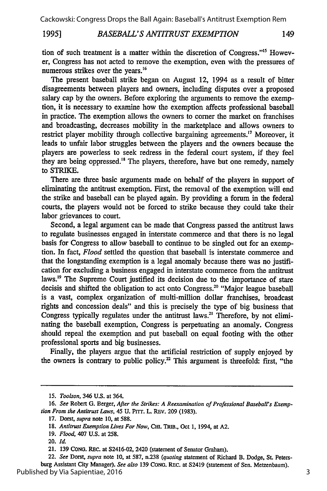#### *BASEBALL'S ANTITRUST EXEMPTION* **1995]**

149

tion of such treatment is a matter within the discretion of Congress."<sup>15</sup> However, Congress has not acted to remove the exemption, even with the pressures of numerous strikes over the years.'<sup>6</sup>

The present baseball strike began on August 12, 1994 as a result of bitter disagreements between players and owners, including disputes over a proposed salary cap by the owners. Before exploring the arguments to remove the exemption, it is necessary to examine how the exemption affects professional baseball in practice. The exemption allows the owners to comer the market on franchises and broadcasting, decreases mobility in the marketplace and allows owners to restrict player mobility through collective bargaining agreements.<sup>17</sup> Moreover, it leads to unfair labor struggles between the players and the owners because the players are powerless to seek redress in the federal court system, if they feel they are being oppressed.'" The players, therefore, have but one remedy, namely to STRIKE.

There are three basic arguments made on behalf of the players in support of eliminating the antitrust exemption. First, the removal of the exemption will end the strike and baseball can be played again. By providing a forum in the federal courts, the players would not be forced to strike because they could take their labor grievances to court.

Second, a legal argument can be made that Congress passed the antitrust laws to regulate businesses engaged in interstate commerce and that there is no legal basis for Congress to allow baseball to continue to be singled out for an exemption. In fact, *Flood* settled the question that baseball is interstate commerce and that the longstanding exemption is a legal anomaly because there was no justification for excluding a business engaged in interstate commerce from the antitrust laws.<sup>19</sup> The Supreme Court justified its decision due to the importance of stare decisis and shifted the obligation to act onto Congress.<sup>20</sup> "Major league baseball is a vast, complex organization of multi-million dollar franchises, broadcast rights and concession deals" and this is precisely the type of big business that Congress typically regulates under the antitrust laws.<sup>21</sup> Therefore, by not eliminating the baseball exemption, Congress is perpetuating an anomaly. Congress should repeal the exemption and put baseball on equal footing with the other professional sports and big businesses.

Finally, the players argue that the artificial restriction of supply enjoyed by the owners is contrary to public policy.<sup>22</sup> This argument is threefold: first, "the

*<sup>15.</sup> Toolson,* 346 **U.S.** at 364.

**<sup>16.</sup>** *See* Robert **G.** Berger, *After the Strikes: A Reexamination of Professional Baseball's Exemption From the Antitrust Laws,* 45 **U. Prrr.** L. REv. **209 (1983).**

**<sup>17.</sup>** Dorst, *supra* note **10,** at **588.**

**<sup>18.</sup>** *Antitrust Exemption Lives For Now,* **Cm.** TRIB., Oct **1,** 1994, at **A2.**

**<sup>19.</sup>** *Flood,* 407 **U.S.** at **258.**

**<sup>20.</sup> Id.**

<sup>21.</sup> **139 CONG.** REc. at S2416-02, 2420 (statement of Senator Graham).

<sup>22.</sup> *See* Dorst, *supra* note **10,** at **587,** n.238 *(quoting* statement of Richard B. Dodge, St. Petersburg Assistant City Manager). *See also* **139** CONG. REc. at S2419 (statement of Sen. Metzenbaum). Published by Via Sapientiae, 2016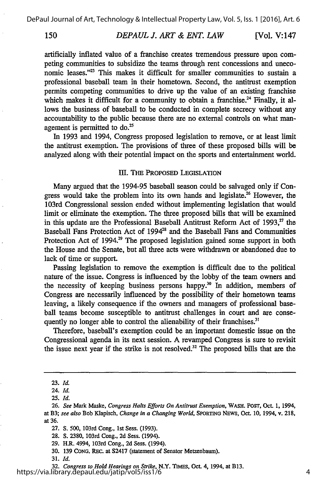#### *DEPAUL J. ART & ENT. LAW* [Vol. V:147]

artificially inflated value of a franchise creates tremendous pressure upon competing communities to subsidize the teams through rent concessions and uneconomic leases."<sup>23</sup> This makes it difficult for smaller communities to sustain a professional baseball team in their hometown. Second, the antitrust exemption permits competing communities to drive up the value of an existing franchise which makes it difficult for a community to obtain a franchise.<sup>24</sup> Finally, it allows the business of baseball to be conducted in complete secrecy without any accountability to the public because there are no external controls on what management is permitted to do.<sup>25</sup>

In 1993 and 1994, Congress proposed legislation to remove, or at least limit the antitrust exemption. The provisions of three of these proposed bills will be analyzed along with their potential impact on the sports and entertainment world.

### **I1.** THE PROPOSED LEGISLATION

Many argued that the 1994-95 baseball season could be salvaged only if Congress would take the problem into its own hands and legislate.<sup>26</sup> However, the 103rd Congressional session ended without implementing legislation that would limit or eliminate the exemption. The three proposed bills that will be examined in this update are the Professional Baseball Antitrust Reform Act of  $1993$ <sup>27</sup>, the Baseball Fans Protection Act of 1994<sup>28</sup> and the Baseball Fans and Communities Protection Act of 1994.<sup>29</sup> The proposed legislation gained some support in both the House and the Senate, but all three acts were withdrawn or abandoned due to lack of time or support.

Passing legislation to remove the exemption is difficult due to the political nature of the issue. Congress is influenced by the lobby of the team owners and the necessity of keeping business persons happy.<sup>30</sup> In addition, members of Congress are necessarily influenced by the possibility of their hometown teams leaving, a likely consequence if the owners and managers of professional baseball teams become susceptible to antitrust challenges in court and are consequently no longer able to control the alienability of their franchises.<sup>31</sup>

Therefore, baseball's exemption could be an important domestic issue on the Congressional agenda in its next session. A revamped Congress is sure to revisit the issue next year if the strike is not resolved.<sup>32</sup> The proposed bills that are the

<sup>23.</sup> *Id.*

<sup>24.</sup> *Id.*

<sup>25.</sup> *Id.*

<sup>26.</sup> *See* Mark Maske, *Congress Halts Efforts On Antitrust Exemption,* WASH. POST, Oct. 1, 1994,

at B3; *see also* Bob Klapisch, *Change in a Changing World,* SPORTING NEwS, Oct. 10, 1994, v. 218, at 36.

<sup>27.</sup> *S.* 500, 103rd Cong., 1st Sess. (1993).

<sup>28.</sup> **S.** 2380, 103rd Cong., 2d Sess. (1994).

<sup>29.</sup> H.R. 4994, 103rd Cong., 2d Sess. (1994).

<sup>30. 139</sup> CONG. REC. at S2417 (statement of Senator Metzenbaum).

<sup>31.</sup> *Id.*

**<sup>32.</sup>** *Congress to Hold Hearings on Strike,* N.Y. TIMEs, Oct 4, 1994, at B13. https://via.library.depaul.edu/jatip/vol5/iss1/6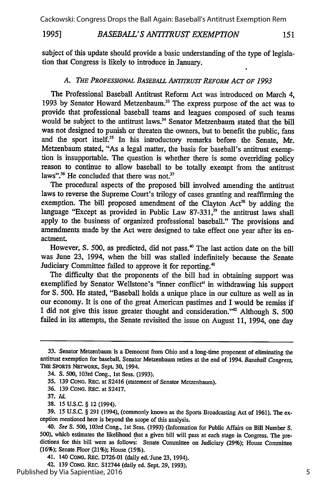Cackowski: Congress Drops the Ball Again: Baseball's Antitrust Exemption Rem

#### *BASEBALL'S ANTITRUST EXEMPTION* **1995]**

subject of this update should provide a basic understanding of the type of legislation that Congress is likely to introduce in January.

### *A. THE PROFESSIONAL BASEBALL* ANTTRusT *REFORM ACT OF 1993*

The Professional Baseball Antitrust Reform Act was introduced on March 4, 1993 by Senator Howard Metzenbaum.<sup>33</sup> The express purpose of the act was to provide that professional baseball teams and leagues composed of such teams would be subject to the antitrust laws.<sup>34</sup> Senator Metzenbaum stated that the bill was not designed to punish or threaten the owners, but to benefit the public, fans and the sport itself.<sup>35</sup> In his introductory remarks before the Senate, Mr. Metzenbaum stated, "As a legal matter, the basis for baseball's antitrust exemption is insupportable. The question is whether there is some overriding policy reason to continue to allow baseball to be totally exempt from the antitrust laws".<sup>36</sup> He concluded that there was not.<sup>37</sup>

The procedural aspects of the proposed bill involved amending the antitrust laws to reverse the Supreme Court's trilogy of cases granting and reaffirming the exemption. The bill proposed amendment of the Clayton  $Act^{38}$  by adding the language "Except as provided in Public Law 87-331,<sup>39</sup> the antitrust laws shall apply to the business of organized professional baseball." The provisions and amendments made by the Act were designed to take effect one year after its enactment.

However, S. 500, as predicted, did not pass.<sup>40</sup> The last action date on the bill was June 23, 1994, when the bill was stalled indefinitely because the Senate Judiciary Committee failed to approve it for reporting.<sup>41</sup>

The difficulty that the proponents of the bill had in obtaining support was exemplified by Senator Wellstone's "inner conflict" in withdrawing his support for **S.** 500. He stated, "Baseball holds a unique place in our culture as well as in our economy. It is one of the great American pastimes and I would be remiss if I did not give this issue greater thought and consideration."'42 Although **S.** 500 failed in its attempts, the Senate revisited the issue on August 11, 1994, one day

42. 139 **CONG.** REc. S12744 (daily ed. Sept. 29, 1993).

151

**<sup>33.</sup>** Senator Metzenbaum is a Democrat from Ohio and a long-time proponent of eliminating the antitrust exemption for baseball. Senator Metzenbaum retires at the end of 1994. *Baseball* Congress, **THE** SPoRTs NETwoRK, Sept. 30, 1994.

<sup>34.</sup> *S.* 500, 103rd Cong., Ist Sess. (1993).

<sup>35.</sup> **139 CONG.** REc. at S2416 (statement of Senator Metzenbaum).

**<sup>36. 139</sup>** CoNG. REC. at S2417.

<sup>37.</sup> *Id.*

**<sup>38. 15</sup>** U.S.C. § 12 (1994).

<sup>39. 15</sup> U.S.C. § 291 (1994), (commonly known as the Sports Broadcasting Act of 1961). The ex ception mentioned here is beyond the scope of this analysis.

*<sup>40.</sup>* See **S.** 500, 103rd Cong., Ist Sess. (1993) (Information for Public Affairs on Bill Number S. 500), which estimates the likelihood that a given bill will pass at each stage in Congress. The pre dictions for this bill were as follows: Senate Committee on Judiciary (29%); House Committee (16%); Senate Floor (21%); House **(15%).**

<sup>41. 140</sup> CONG. REc. D726-01 (daily ed.'June 23, 1994).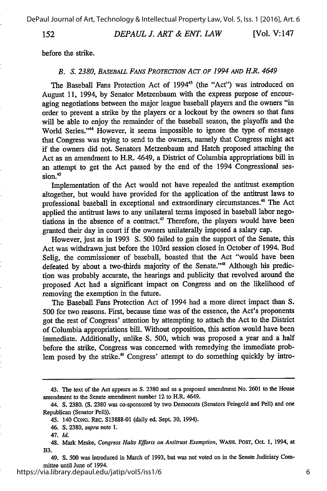DePaul Journal of Art, Technology & Intellectual Property Law, Vol. 5, Iss. 1 [2016], Art. 6

152

*DEPAUL J. ART & ENT. LAW*

[Vol. V:147]

before the strike.

### *B. S. 2380, BASEBALL FANS PROTECTION ACT OF 1994 AND H.R. 4649*

The Baseball Fans Protection Act of 1994<sup>43</sup> (the "Act") was introduced on August 11, 1994, by Senator Metzenbaum with the express purpose of encouraging negotiations between the major league baseball players and the owners "in order to prevent a strike by the players or a lockout by the owners so that fans will be able to enjoy the remainder of the baseball season, the playoffs and the World Series."<sup>44</sup> However, it seems impossible to ignore the type of message that Congress was trying to send to the owners, namely that Congress might act if the owners did not. Senators Metzenbaum and Hatch proposed attaching the Act as an amendment to H.R. 4649, a District of Columbia appropriations bill in an attempt to get the Act passed by the end of the 1994 Congressional ses- $\text{sion.}^4$ 

Implementation of the Act would not have repealed the antitrust exemption altogether, but would have provided for the application of the antitrust laws to professional baseball in exceptional and extraordinary circumstances.<sup>46</sup> The Act applied the antitrust laws to any unilateral terms imposed in baseball labor negotiations in the absence of a contract.<sup>47</sup> Therefore, the players would have been granted their day in court if the owners unilaterally imposed a salary cap.

However, just as in 1993 S. 500 failed to gain the support of the Senate, this Act was withdrawn just before the 103rd session closed in October of 1994. Bud Selig, the commissioner of baseball, boasted that the Act "would have been defeated by about a two-thirds majority of the Senate."<sup>48</sup> Although his prediction was probably accurate, the hearings and publicity that revolved around the proposed Act had a significant impact on Congress and on the likelihood of removing the exemption in the future.

The Baseball Fans Protection Act of 1994 had a more direct impact than S. 500 for two reasons. First, because time was of the essence, the Act's proponents got the rest of Congress' attention by attempting to attach the Act to the District of Columbia appropriations bill. Without opposition, this action would have been immediate. Additionally, unlike **S.** 500, which was proposed a year and a half before the strike, Congress was concerned with remedying the immediate problem posed by the strike.<sup>49</sup> Congress' attempt to do something quickly by intro-

**<sup>43.</sup>** The text **of** the Act appears as **S. 2380** and as a **proposed** amendment **No. 2601** to the **House** amendment to the Senate amendment number **12** to H.R. 4649.

<sup>44.</sup> **S. 2380. (S. 2380** was co-sponsored **by** two Democrats (Senators Feingold and Pell) and one Republican (Senator Pell)).

<sup>45. 140</sup> **CONG. REC. S13888-01** (daily ed. Sept. **30,** 1994).

<sup>46.</sup> **S. 2380,** *supra* note **1.**

*<sup>47.</sup> Id.*

<sup>48.</sup> Mark Meske, *Congress Halts Efforts on Antitrust Exemption,* WASH. **POST, Oct. 1,** 1994, at B3.

<sup>49.</sup> **S. 500** was introduced in March of **1993,** but was not voted on in the Senate Judiciary Committee until June of 1994.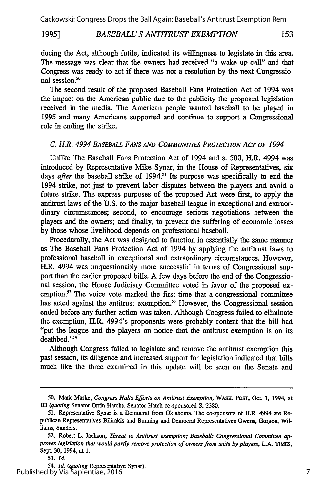### 1995] *BASEBALL'S ANTITRUST EXEMPTION* 153

ducing the Act, although futile, indicated its willingness to legislate in this area. The message was clear that the owners had received "a wake up call" and that Congress was ready to act if there was not a resolution by the next Congressional session.<sup>50</sup>

The second result of the proposed Baseball Fans Protection Act of 1994 was the impact on the American public due to the publicity the proposed legislation received in the media. The American people wanted baseball to be played in 1995 and many Americans supported and continue to support a Congressional role in ending the strike.

### *C. H.R. 4994 BASEBALL FANS AND COMMUNITIES PROTECTION ACT OF 1994*

Unlike The Baseball Fans Protection Act of 1994 and s. 500, H.R. 4994 was introduced by Representative Mike Synar, in the House of Representatives, six days after the baseball strike of 1994.<sup>51</sup> Its purpose was specifically to end the 1994 strike, not just to prevent labor disputes between the players and avoid a future strike. The express purposes of the proposed Act were first, to apply the antitrust laws of the U.S. to the major baseball league in exceptional and extraordinary circumstances; second, to encourage serious negotiations between the players and the owners; and finally, to prevent the suffering of economic losses by those whose livelihood depends on professional baseball.

Procedurally, the Act was designed to function in essentially the same manner as The Baseball Fans Protection Act of 1994 by applying the antitrust laws to professional baseball in exceptional and extraordinary circumstances. However, H.R. 4994 was unquestionably more successful in terms of Congressional support than the earlier proposed bills. A few days before the end of the Congressional session, the House Judiciary Committee voted in favor of the proposed exemption.<sup>52</sup> The voice vote marked the first time that a congressional committee has acted against the antitrust exemption.<sup>53</sup> However, the Congressional session ended before any further action was taken. Although Congress failed to eliminate the exemption, H.R. 4994's proponents were probably content that the bill had "put the league and the players on notice that the antitrust exemption is on its deathbed."<sup>54</sup>

Although Congress failed to legislate and remove the antitrust exemption this past session, its diligence and increased support for legislation indicated that bills much like the three examined in this update will be seen on the Senate and

**<sup>50.</sup>** Mark Maske, *Congress Halts Efforts on Antitrust Exemption,* WASH. POST, Oct. **1,** 1994, at B3 *(quoting* Senator **Orrin** Hatch). Senator Hatch co-sponsored **S. 2380.**

**<sup>51.</sup>** Representative Synar is a Democrat from Oklahoma. The co-sponsors of H.R. 4994 are Republican Representatives Bilirakis and Bunning and Democrat Representatives Owens, Gorgon, Williams, Sanders.

**<sup>52.</sup>** Robert L. Jackson, *Threat to Antitrust exemption; Baseball: Congressional Committee approves legislation that would partly remove protection of owners from suits by players,* **L.A. TIMES,** Sept. **30,** 1994, at **1.**

**<sup>53.</sup>** *Id.*

<sup>54.</sup> *Id. (quoting* Representative Synar). Published by Via Sapientiae, 2016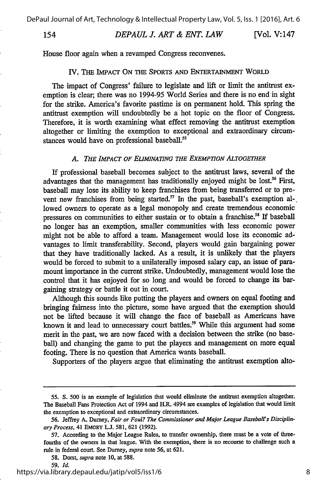#### *DEPAUL J. ART & ENT. LAW* [Vol. V:147]

House floor again when a revamped Congress reconvenes.

#### IV. THE IMPACT **ON** THE SPORTS AND ENTERTAINMENT WORLD

The impact of Congress' failure to legislate and lift or limit the antitrust exemption is clear, there was no 1994-95 World Series and there is no end in sight for the strike. America's favorite pastime is on permanent hold. This spring the antitrust exemption will undoubtedly be a hot topic on the floor of Congress. Therefore, it is worth examining what effect removing the antitrust exemption altogether or limiting the exemption to exceptional and extraordinary circumstances would have on professional baseball.<sup>55</sup>

#### *A. THE IMPACT OF ELIMINATING THE EXEMPTION ALTOGETHER*

If professional baseball becomes subject to the antitrust laws, several of the advantages that the management has traditionally enjoyed might be lost.<sup>56</sup> First, baseball may lose its ability to keep franchises from being transferred or to prevent new franchises from being started.<sup>57</sup> In the past, baseball's exemption allowed owners to operate as a legal monopoly and create tremendous economic pressures on communities to either sustain or to obtain a franchise.<sup>58</sup> If baseball no longer has an exemption, smaller communities with less economic power might not be able to afford a team. Management would lose its economic advantages to limit transferability. Second, players would gain bargaining power that they have traditionally lacked. As a result, it is unlikely that the players would be forced to submit to a unilaterally imposed salary cap, an issue of paramount importance in the current strike. Undoubtedly, management would lose the control that it has enjoyed for so long and would be forced to change its bargaining strategy or battle it out in court.

Although this sounds like putting the players and owners on equal footing and bringing fairness into the picture, some have argued that the exemption should not be lifted because it will change the face of baseball as Americans have known it and lead to unnecessary court battles.<sup>59</sup> While this argument had some merit in the past, we are now faced with a decision between the strike (no baseball) and changing the game to put the players and management on more equal footing. There is no question that America wants baseball.

Supporters of the players argue that eliminating the antitrust exemption alto-

*59. Id.*

*<sup>55.</sup>* S. 500 is an example of legislation that would eliminate the antitrust exemption altogether. The Baseball Fans Protection Act of 1994 and H.R. 4994 are examples of legislation that would limit the exemption to exceptional and extraordinary circumstances.

<sup>56.</sup> Jeffrey A. Durney, *Fair or Foul? The Commissioner and Major League Baseball's Disciplinary Process,* 41 EMORY **L.J.** 581, 621 (1992).

<sup>57.</sup> According to the Major League Rules, to transfer ownership, there must be a vote of threefourths of the owners in that league. With the exemption, there is no recourse to challenge such a rule in federal court. See Dumey, *supra* note 56, at 621.

<sup>58.</sup> Dorst, *supra* note **10,** at 588.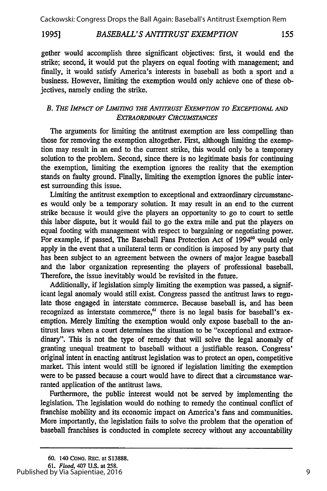Cackowski: Congress Drops the Ball Again: Baseball's Antitrust Exemption Rem

#### **1995]** *BASEBALL'S ANTITRUST EXEMPTION* 155

gether would accomplish three significant objectives: first, it would end the strike; second, it would put the players on equal footing with management; and finally, it would satisfy America's interests in baseball as both a sport and a business. However, limiting the exemption would only achieve one of these objectives, namely ending the strike.

### *B. THE IMPACT OF LIMITING THE ANTITRUST EXEMPTION TO EXCEPTIONAL AND EXTRAORDINARY CIRCUMSTANCES*

The arguments for limiting the antitrust exemption are less compelling than those for removing the exemption altogether. First, although limiting the exemption may result in an end to the current strike, this would only be a temporary solution to the problem. Second, since there is no legitimate basis for continuing the exemption, limiting the exemption ignores the reality that the exemption stands on faulty ground. Finally, limiting the exemption ignores the public interest surrounding this issue.

Limiting the antitrust exemption to exceptional and extraordinary circumstances would only be a temporary solution. It may result in an end to the current strike because it would give the players an opportunity to go to court to settle this labor dispute, but it would fail to go the extra mile and put the players on equal footing with management with respect to bargaining or negotiating power. For example, if passed, The Baseball Fans Protection Act of 1994<sup>60</sup> would only apply in the event that a unilateral term or condition is imposed by any party that has been subject to an agreement between the owners of major league baseball and the labor organization representing the players of professional baseball. Therefore, the issue inevitably would be revisited in the future.

Additionally, if legislation simply limiting the exemption was passed, a significant legal anomaly would still exist. Congress passed the antitrust laws to regulate those engaged in interstate commerce. Because baseball is, and has been recognized as interstate commerce,<sup>61</sup> there is no legal basis for baseball's exemption. Merely limiting the exemption would only expose baseball to the antitrust laws when a court determines the situation to be "exceptional and extraordinary". This is not the type of remedy that will solve the legal anomaly of granting unequal treatment to baseball without a justifiable reason. Congress' original intent in enacting antitrust legislation was to protect an open, competitive market. This intent would still be ignored if legislation limiting the exemption were to be passed because a court would have to direct that a circumstance warranted application of the antitrust laws.

Furthermore, the public interest would not be served by implementing the legislation. The legislation would do nothing to remedy the continual conflict of franchise mobility and its economic impact on America's fans and communities. More importantly, the legislation fails to solve the problem that the operation of baseball franchises is conducted in complete secrecy without any accountability